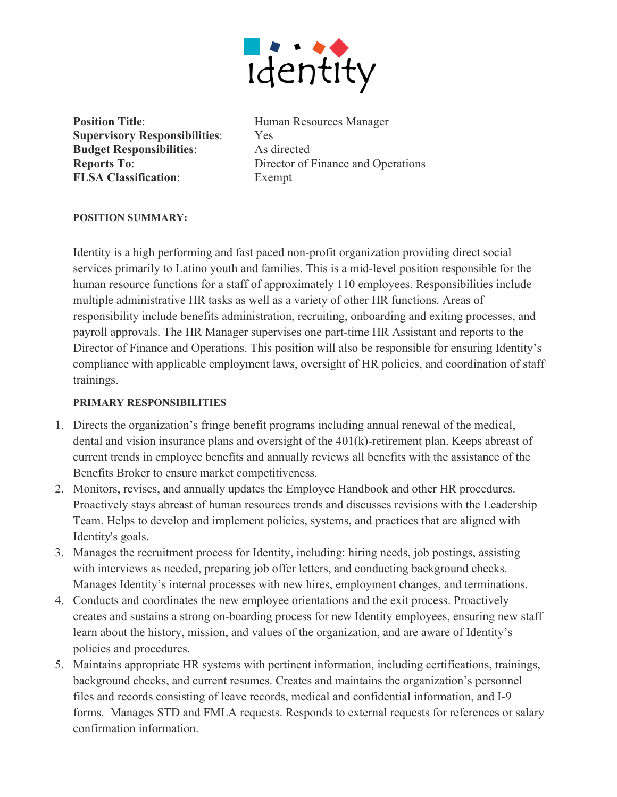

**Position Title:** Human Resources Manager **Supervisory Responsibilities**: Yes **Budget Responsibilities**: As directed **FLSA Classification**: Exempt

**Reports To:** Director of Finance and Operations

### **POSITION SUMMARY:**

Identity is a high performing and fast paced non-profit organization providing direct social services primarily to Latino youth and families. This is a mid-level position responsible for the human resource functions for a staff of approximately 110 employees. Responsibilities include multiple administrative HR tasks as well as a variety of other HR functions. Areas of responsibility include benefits administration, recruiting, onboarding and exiting processes, and payroll approvals. The HR Manager supervises one part-time HR Assistant and reports to the Director of Finance and Operations. This position will also be responsible for ensuring Identity's compliance with applicable employment laws, oversight of HR policies, and coordination of staff trainings.

#### **PRIMARY RESPONSIBILITIES**

- 1. Directs the organization's fringe benefit programs including annual renewal of the medical, dental and vision insurance plans and oversight of the 401(k)-retirement plan. Keeps abreast of current trends in employee benefits and annually reviews all benefits with the assistance of the Benefits Broker to ensure market competitiveness.
- 2. Monitors, revises, and annually updates the Employee Handbook and other HR procedures. Proactively stays abreast of human resources trends and discusses revisions with the Leadership Team. Helps to develop and implement policies, systems, and practices that are aligned with Identity's goals.
- 3. Manages the recruitment process for Identity, including: hiring needs, job postings, assisting with interviews as needed, preparing job offer letters, and conducting background checks. Manages Identity's internal processes with new hires, employment changes, and terminations.
- 4. Conducts and coordinates the new employee orientations and the exit process. Proactively creates and sustains a strong on-boarding process for new Identity employees, ensuring new staff learn about the history, mission, and values of the organization, and are aware of Identity's policies and procedures.
- 5. Maintains appropriate HR systems with pertinent information, including certifications, trainings, background checks, and current resumes. Creates and maintains the organization's personnel files and records consisting of leave records, medical and confidential information, and I-9 forms. Manages STD and FMLA requests. Responds to external requests for references or salary confirmation information.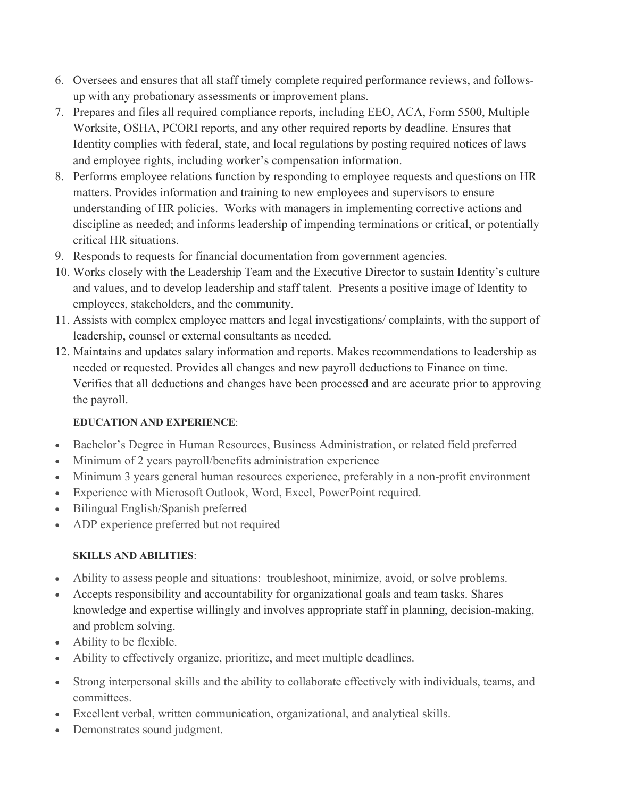- 6. Oversees and ensures that all staff timely complete required performance reviews, and followsup with any probationary assessments or improvement plans.
- 7. Prepares and files all required compliance reports, including EEO, ACA, Form 5500, Multiple Worksite, OSHA, PCORI reports, and any other required reports by deadline. Ensures that Identity complies with federal, state, and local regulations by posting required notices of laws and employee rights, including worker's compensation information.
- 8. Performs employee relations function by responding to employee requests and questions on HR matters. Provides information and training to new employees and supervisors to ensure understanding of HR policies. Works with managers in implementing corrective actions and discipline as needed; and informs leadership of impending terminations or critical, or potentially critical HR situations.
- 9. Responds to requests for financial documentation from government agencies.
- 10. Works closely with the Leadership Team and the Executive Director to sustain Identity's culture and values, and to develop leadership and staff talent. Presents a positive image of Identity to employees, stakeholders, and the community.
- 11. Assists with complex employee matters and legal investigations/ complaints, with the support of leadership, counsel or external consultants as needed.
- 12. Maintains and updates salary information and reports. Makes recommendations to leadership as needed or requested. Provides all changes and new payroll deductions to Finance on time. Verifies that all deductions and changes have been processed and are accurate prior to approving the payroll.

# **EDUCATION AND EXPERIENCE**:

- Bachelor's Degree in Human Resources, Business Administration, or related field preferred
- Minimum of 2 years payroll/benefits administration experience
- Minimum 3 years general human resources experience, preferably in a non-profit environment
- Experience with Microsoft Outlook, Word, Excel, PowerPoint required.
- Bilingual English/Spanish preferred
- ADP experience preferred but not required

# **SKILLS AND ABILITIES**:

- Ability to assess people and situations: troubleshoot, minimize, avoid, or solve problems.
- Accepts responsibility and accountability for organizational goals and team tasks. Shares knowledge and expertise willingly and involves appropriate staff in planning, decision-making, and problem solving.
- Ability to be flexible.
- Ability to effectively organize, prioritize, and meet multiple deadlines.
- Strong interpersonal skills and the ability to collaborate effectively with individuals, teams, and committees.
- Excellent verbal, written communication, organizational, and analytical skills.
- Demonstrates sound judgment.